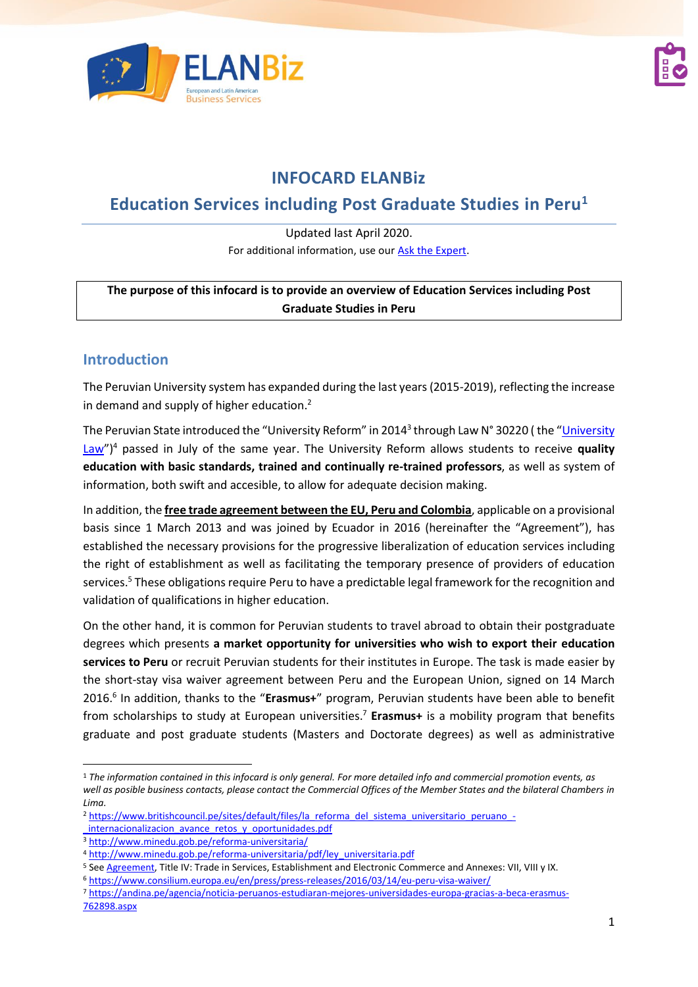



# **INFOCARD ELANBiz**

# **Education Services including Post Graduate Studies in Peru<sup>1</sup>**

Updated last April 2020. For additional information, use our [Ask the Expert.](http://bit.ly/2fQNCnJ)

#### **The purpose of this infocard is to provide an overview of Education Services including Post Graduate Studies in Peru**

### **Introduction**

The Peruvian University system has expanded during the last years (2015-2019), reflecting the increase in demand and supply of higher education.<sup>2</sup>

The Peruvian State introduced the "[University](https://www.sunedu.gob.pe/wp-content/uploads/2017/04/Ley-universitaria-30220.pdf) Reform" in 2014<sup>3</sup> through Law N° 30220 ( the "<u>University</u> [Law](https://www.sunedu.gob.pe/wp-content/uploads/2017/04/Ley-universitaria-30220.pdf)") <sup>4</sup> passed in July of the same year. The University Reform allows students to receive **quality education with basic standards, trained and continually re-trained professors**, as well as system of information, both swift and accesible, to allow for adequate decision making.

In addition, the **free trade agreement between the EU, Peru and Colombia**, applicable on a provisional basis since 1 March 2013 and was joined by Ecuador in 2016 (hereinafter the "Agreement"), has established the necessary provisions for the progressive liberalization of education services including the right of establishment as well as facilitating the temporary presence of providers of education services. <sup>5</sup> These obligations require Peru to have a predictable legal framework for the recognition and validation of qualifications in higher education.

On the other hand, it is common for Peruvian students to travel abroad to obtain their postgraduate degrees which presents **a market opportunity for universities who wish to export their education services to Peru** or recruit Peruvian students for their institutes in Europe. The task is made easier by the short-stay visa waiver agreement between Peru and the European Union, signed on 14 March 2016. 6 In addition, thanks to the "**Erasmus+**" program, Peruvian students have been able to benefit from scholarships to study at European universities. <sup>7</sup> **Erasmus+** is a mobility program that benefits graduate and post graduate students (Masters and Doctorate degrees) as well as administrative

<sup>1</sup> *The information contained in this infocard is only general. For more detailed info and commercial promotion events, as well as posible business contacts, please contact the Commercial Offices of the Member States and the bilateral Chambers in Lima.* 

<sup>2</sup> [https://www.britishcouncil.pe/sites/default/files/la\\_reforma\\_del\\_sistema\\_universitario\\_peruano\\_-](https://www.britishcouncil.pe/sites/default/files/la_reforma_del_sistema_universitario_peruano_-_internacionalizacion_avance_retos_y_oportunidades.pdf)

internacionalizacion avance retos y oportunidades.pdf

<sup>3</sup> <http://www.minedu.gob.pe/reforma-universitaria/>

<sup>4</sup> [http://www.minedu.gob.pe/reforma-universitaria/pdf/ley\\_universitaria.pdf](http://www.minedu.gob.pe/reforma-universitaria/pdf/ley_universitaria.pdf)

<sup>5</sup> See [Agreement,](http://www.acuerdoscomerciales.gob.pe/index.php?option=com_content&view=category&layout=blog&id=52&Itemid=75) Title IV: Trade in Services, Establishment and Electronic Commerce and Annexes: VII, VIII y IX.

<sup>6</sup> <https://www.consilium.europa.eu/en/press/press-releases/2016/03/14/eu-peru-visa-waiver/>

<sup>7</sup> [https://andina.pe/agencia/noticia-peruanos-estudiaran-mejores-universidades-europa-gracias-a-beca-erasmus-](https://andina.pe/agencia/noticia-peruanos-estudiaran-mejores-universidades-europa-gracias-a-beca-erasmus-762898.aspx)[762898.aspx](https://andina.pe/agencia/noticia-peruanos-estudiaran-mejores-universidades-europa-gracias-a-beca-erasmus-762898.aspx)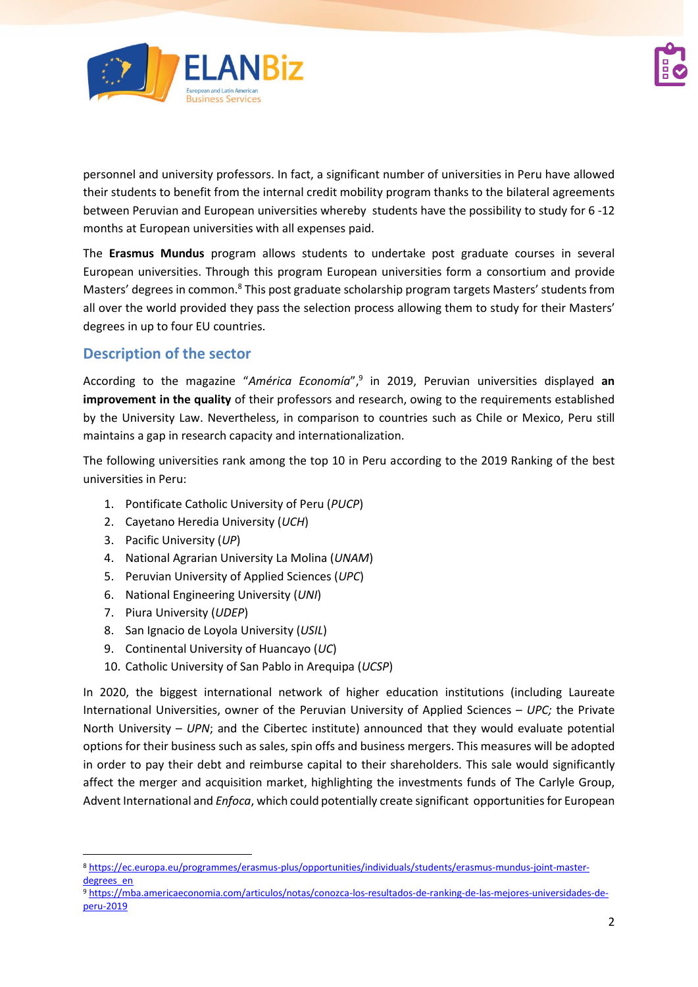

personnel and university professors. In fact, a significant number of universities in Peru have allowed their students to benefit from the internal credit mobility program thanks to the bilateral agreements between Peruvian and European universities whereby students have the possibility to study for 6 -12 months at European universities with all expenses paid.

The **Erasmus Mundus** program allows students to undertake post graduate courses in several European universities. Through this program European universities form a consortium and provide Masters' degrees in common.<sup>8</sup> This post graduate scholarship program targets Masters' students from all over the world provided they pass the selection process allowing them to study for their Masters' degrees in up to four EU countries.

## **Description of the sector**

According to the magazine "*América Economía*", 9 in 2019, Peruvian universities displayed **an improvement in the quality** of their professors and research, owing to the requirements established by the University Law. Nevertheless, in comparison to countries such as Chile or Mexico, Peru still maintains a gap in research capacity and internationalization.

The following universities rank among the top 10 in Peru according to the 2019 Ranking of the best universities in Peru:

- 1. Pontificate Catholic University of Peru (*PUCP*)
- 2. Cayetano Heredia University (*UCH*)
- 3. Pacific University (*UP*)
- 4. National Agrarian University La Molina (*UNAM*)
- 5. Peruvian University of Applied Sciences (*UPC*)
- 6. National Engineering University (*UNI*)
- 7. Piura University (*UDEP*)
- 8. San Ignacio de Loyola University (*USIL*)
- 9. Continental University of Huancayo (*UC*)
- 10. Catholic University of San Pablo in Arequipa (*UCSP*)

In 2020, the biggest international network of higher education institutions (including Laureate International Universities, owner of the Peruvian University of Applied Sciences – *UPC;* the Private North University – *UPN*; and the Cibertec institute) announced that they would evaluate potential options for their business such as sales, spin offs and business mergers. This measures will be adopted in order to pay their debt and reimburse capital to their shareholders. This sale would significantly affect the merger and acquisition market, highlighting the investments funds of The Carlyle Group, Advent International and *Enfoca*, which could potentially create significant opportunities for European

<sup>8</sup> [https://ec.europa.eu/programmes/erasmus-plus/opportunities/individuals/students/erasmus-mundus-joint-master](https://ec.europa.eu/programmes/erasmus-plus/opportunities/individuals/students/erasmus-mundus-joint-master-degrees_en)[degrees\\_en](https://ec.europa.eu/programmes/erasmus-plus/opportunities/individuals/students/erasmus-mundus-joint-master-degrees_en)

<sup>9</sup> [https://mba.americaeconomia.com/articulos/notas/conozca-los-resultados-de-ranking-de-las-mejores-universidades-de](https://mba.americaeconomia.com/articulos/notas/conozca-los-resultados-de-ranking-de-las-mejores-universidades-de-peru-2019)[peru-2019](https://mba.americaeconomia.com/articulos/notas/conozca-los-resultados-de-ranking-de-las-mejores-universidades-de-peru-2019)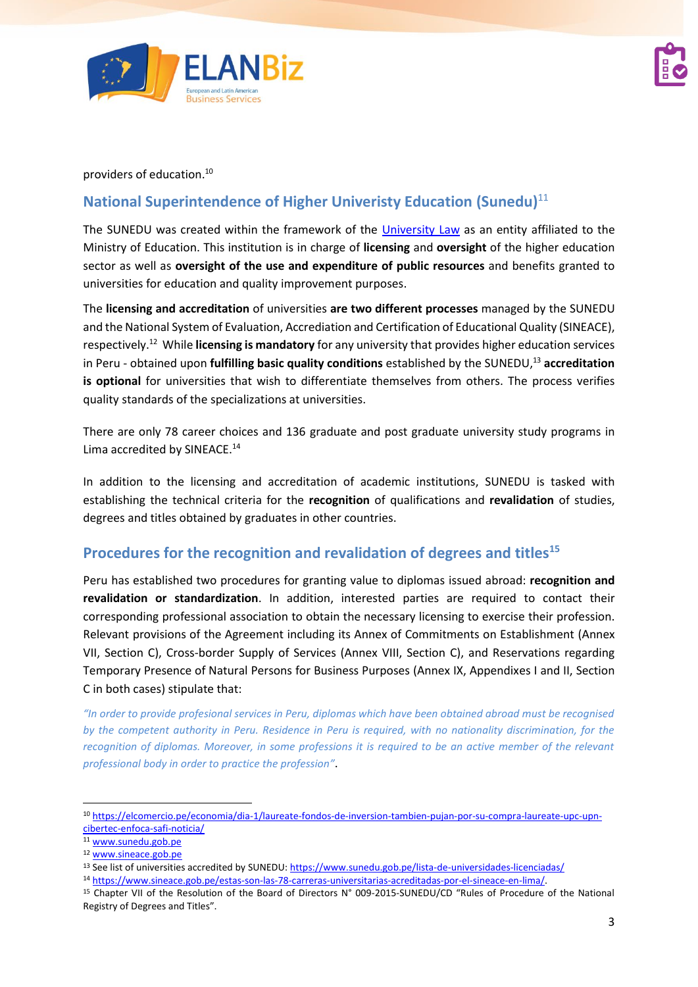

providers of education. 10

## **National Superintendence of Higher Univeristy Education (Sunedu)**<sup>11</sup>

The SUNEDU was created within the framework of the [University Law](https://www.sunedu.gob.pe/wp-content/uploads/2017/04/Ley-universitaria-30220.pdf) as an entity affiliated to the Ministry of Education. This institution is in charge of **licensing** and **oversight** of the higher education sector as well as **oversight of the use and expenditure of public resources** and benefits granted to universities for education and quality improvement purposes.

The **licensing and accreditation** of universities **are two different processes** managed by the SUNEDU and the National System of Evaluation, Accrediation and Certification of Educational Quality (SINEACE), respectively.<sup>12</sup> While **licensing is mandatory** for any university that provides higher education services in Peru - obtained upon **fulfilling basic quality conditions** established by the SUNEDU, <sup>13</sup> **accreditation is optional** for universities that wish to differentiate themselves from others. The process verifies quality standards of the specializations at universities.

There are only 78 career choices and 136 graduate and post graduate university study programs in Lima accredited by SINEACE. 14

In addition to the licensing and accreditation of academic institutions, SUNEDU is tasked with establishing the technical criteria for the **recognition** of qualifications and **revalidation** of studies, degrees and titles obtained by graduates in other countries.

### **Procedures for the recognition and revalidation of degrees and titles<sup>15</sup>**

Peru has established two procedures for granting value to diplomas issued abroad: **recognition and revalidation or standardization**. In addition, interested parties are required to contact their corresponding professional association to obtain the necessary licensing to exercise their profession. Relevant provisions of the Agreement including its Annex of Commitments on Establishment (Annex VII, Section C), Cross-border Supply of Services (Annex VIII, Section C), and Reservations regarding Temporary Presence of Natural Persons for Business Purposes (Annex IX, Appendixes I and II, Section C in both cases) stipulate that:

*"In order to provide profesional services in Peru, diplomas which have been obtained abroad must be recognised by the competent authority in Peru. Residence in Peru is required, with no nationality discrimination, for the recognition of diplomas. Moreover, in some professions it is required to be an active member of the relevant professional body in order to practice the profession"*.

<sup>10</sup> [https://elcomercio.pe/economia/dia-1/laureate-fondos-de-inversion-tambien-pujan-por-su-compra-laureate-upc-upn](https://elcomercio.pe/economia/dia-1/laureate-fondos-de-inversion-tambien-pujan-por-su-compra-laureate-upc-upn-cibertec-enfoca-safi-noticia/)[cibertec-enfoca-safi-noticia/](https://elcomercio.pe/economia/dia-1/laureate-fondos-de-inversion-tambien-pujan-por-su-compra-laureate-upc-upn-cibertec-enfoca-safi-noticia/)

<sup>11</sup> [www.sunedu.gob.pe](http://www.sunedu.gob.pe/)

<sup>12</sup> [www.sineace.gob.pe](http://www.sineace.gob.pe/)

<sup>&</sup>lt;sup>13</sup> See list of universities accredited by SUNEDU[: https://www.sunedu.gob.pe/lista-de-universidades-licenciadas/](https://www.sunedu.gob.pe/lista-de-universidades-licenciadas/)

<sup>14</sup> [https://www.sineace.gob.pe/estas-son-las-78-carreras-universitarias-acreditadas-por-el-sineace-en-lima/.](https://www.sineace.gob.pe/estas-son-las-78-carreras-universitarias-acreditadas-por-el-sineace-en-lima/)

<sup>&</sup>lt;sup>15</sup> Chapter VII of the Resolution of the Board of Directors N° 009-2015-SUNEDU/CD "Rules of Procedure of the National Registry of Degrees and Titles".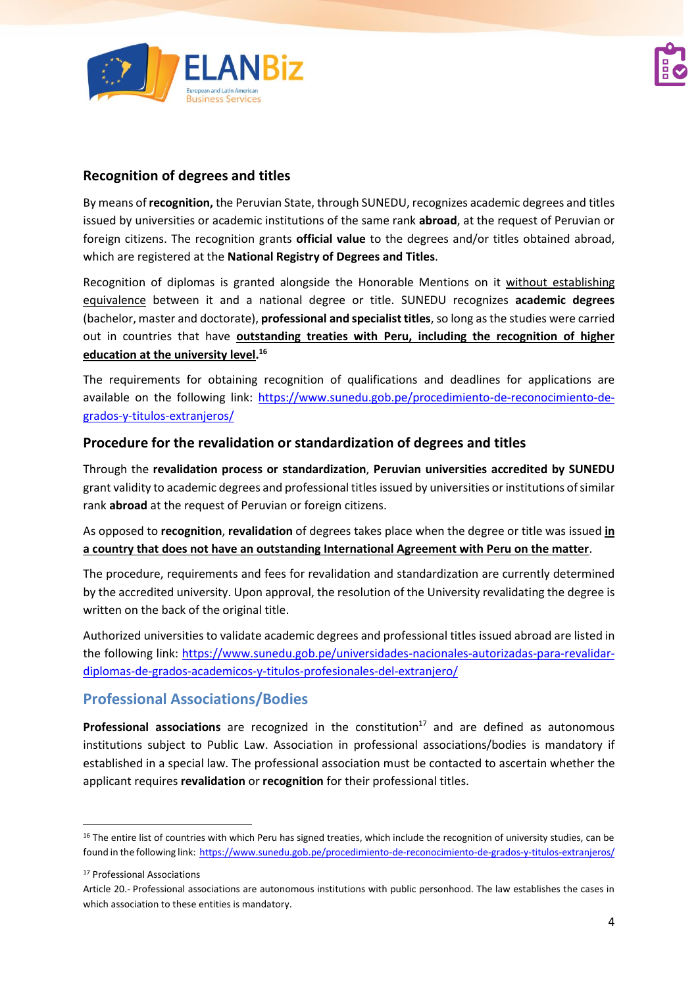

#### **Recognition of degrees and titles**

By means of **recognition,** the Peruvian State, through SUNEDU, recognizes academic degrees and titles issued by universities or academic institutions of the same rank **abroad**, at the request of Peruvian or foreign citizens. The recognition grants **official value** to the degrees and/or titles obtained abroad, which are registered at the **National Registry of Degrees and Titles**.

Recognition of diplomas is granted alongside the Honorable Mentions on it without establishing equivalence between it and a national degree or title. SUNEDU recognizes **academic degrees** (bachelor, master and doctorate), **professional and specialist titles**, so long as the studies were carried out in countries that have **outstanding treaties with Peru, including the recognition of higher education at the university level. 16**

The requirements for obtaining recognition of qualifications and deadlines for applications are available on the following link: [https://www.sunedu.gob.pe/procedimiento-de-reconocimiento-de](https://www.sunedu.gob.pe/procedimiento-de-reconocimiento-de-grados-y-titulos-extranjeros/)[grados-y-titulos-extranjeros/](https://www.sunedu.gob.pe/procedimiento-de-reconocimiento-de-grados-y-titulos-extranjeros/) 

#### **Procedure for the revalidation or standardization of degrees and titles**

Through the **revalidation process or standardization**, **Peruvian universities accredited by SUNEDU** grant validity to academic degrees and professional titles issued by universities or institutions of similar rank **abroad** at the request of Peruvian or foreign citizens.

As opposed to **recognition**, **revalidation** of degrees takes place when the degree or title was issued **in a country that does not have an outstanding International Agreement with Peru on the matter**.

The procedure, requirements and fees for revalidation and standardization are currently determined by the accredited university. Upon approval, the resolution of the University revalidating the degree is written on the back of the original title.

Authorized universities to validate academic degrees and professional titles issued abroad are listed in the following link: [https://www.sunedu.gob.pe/universidades-nacionales-autorizadas-para-revalidar](https://www.sunedu.gob.pe/universidades-nacionales-autorizadas-para-revalidar-diplomas-de-grados-academicos-y-titulos-profesionales-del-extranjero/)[diplomas-de-grados-academicos-y-titulos-profesionales-del-extranjero/](https://www.sunedu.gob.pe/universidades-nacionales-autorizadas-para-revalidar-diplomas-de-grados-academicos-y-titulos-profesionales-del-extranjero/)

### **Professional Associations/Bodies**

**Professional associations** are recognized in the constitution<sup>17</sup> and are defined as autonomous institutions subject to Public Law. Association in professional associations/bodies is mandatory if established in a special law. The professional association must be contacted to ascertain whether the applicant requires **revalidation** or **recognition** for their professional titles.

<sup>&</sup>lt;sup>16</sup> The entire list of countries with which Peru has signed treaties, which include the recognition of university studies, can be found in the following link:<https://www.sunedu.gob.pe/procedimiento-de-reconocimiento-de-grados-y-titulos-extranjeros/>

<sup>17</sup> Professional Associations

Article 20.- Professional associations are autonomous institutions with public personhood. The law establishes the cases in which association to these entities is mandatory.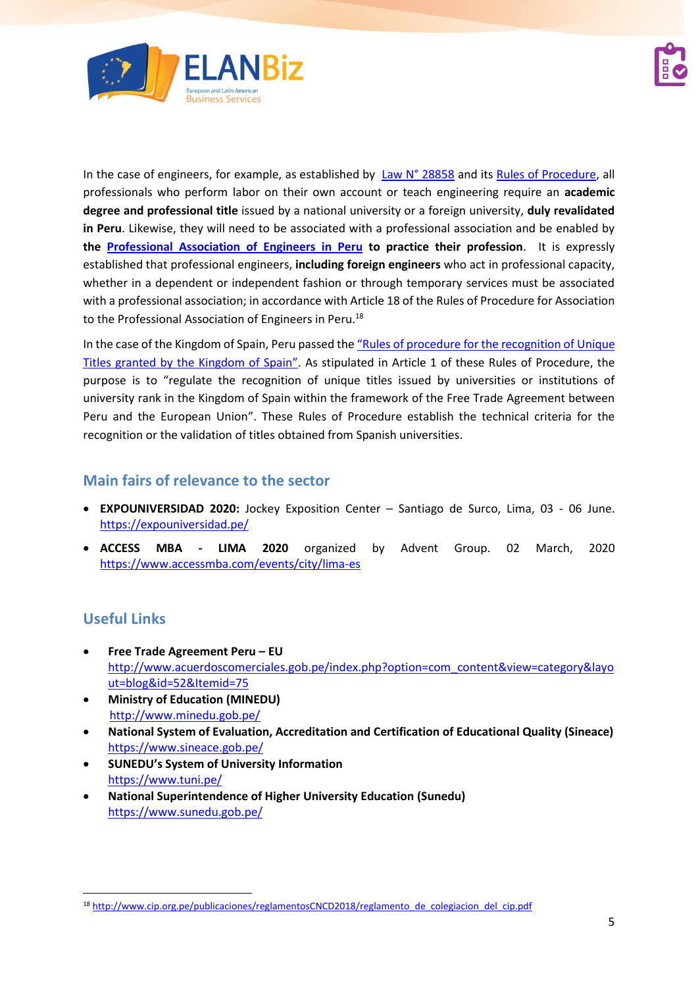

In the case of engineers, for example, as established by Law [N° 28858](http://www.cip.org.pe/publicaciones/2018/ley-28858.pdf) and its [Rules of Procedure,](http://www.cip.org.pe/publicaciones/2018/Ley_28858.pdf) all professionals who perform labor on their own account or teach engineering require an **academic degree and professional title** issued by a national university or a foreign university, **duly revalidated in Peru**. Likewise, they will need to be associated with a professional association and be enabled by **the [Professional Association of Engineers in Peru](http://www.cip.org.pe/) to practice their profession**. It is expressly established that professional engineers, **including foreign engineers** who act in professional capacity, whether in a dependent or independent fashion or through temporary services must be associated with a professional association; in accordance with Article 18 of the Rules of Procedure for Association to the Professional Association of Engineers in Peru.<sup>18</sup>

In the case of the Kingdom of Spain, Peru passed the "R[ules of procedure for the recognition of Unique](https://busquedas.elperuano.pe/normaslegales/aprueban-reglamento-para-el-reconocimiento-de-los-titulos-pr-resolucion-no-005-2017-suneducd-1480004-1/)  [Titles granted by the Kingdom of Spain](https://busquedas.elperuano.pe/normaslegales/aprueban-reglamento-para-el-reconocimiento-de-los-titulos-pr-resolucion-no-005-2017-suneducd-1480004-1/)". As stipulated in Article 1 of these Rules of Procedure, the purpose is to "regulate the recognition of unique titles issued by universities or institutions of university rank in the Kingdom of Spain within the framework of the Free Trade Agreement between Peru and the European Union". These Rules of Procedure establish the technical criteria for the recognition or the validation of titles obtained from Spanish universities.

## **Main fairs of relevance to the sector**

- **EXPOUNIVERSIDAD 2020:** Jockey Exposition Center Santiago de Surco, Lima, 03 06 June. <https://expouniversidad.pe/>
- **ACCESS MBA - LIMA 2020** organized by Advent Group. 02 March, 2020 <https://www.accessmba.com/events/city/lima-es>

## **Useful Links**

- **Free Trade Agreement Peru – EU** [http://www.acuerdoscomerciales.gob.pe/index.php?option=com\\_content&view=category&layo](http://www.acuerdoscomerciales.gob.pe/index.php?option=com_content&view=category&layout=blog&id=52&Itemid=75) [ut=blog&id=52&Itemid=75](http://www.acuerdoscomerciales.gob.pe/index.php?option=com_content&view=category&layout=blog&id=52&Itemid=75)
- **Ministry of Education (MINEDU)**  <http://www.minedu.gob.pe/>
- **National System of Evaluation, Accreditation and Certification of Educational Quality (Sineace)**  <https://www.sineace.gob.pe/>
- **SUNEDU's System of University Information** <https://www.tuni.pe/>
- **National Superintendence of Higher University Education (Sunedu)** <https://www.sunedu.gob.pe/>

<sup>18</sup> [http://www.cip.org.pe/publicaciones/reglamentosCNCD2018/reglamento\\_de\\_colegiacion\\_del\\_cip.pdf](http://www.cip.org.pe/publicaciones/reglamentosCNCD2018/reglamento_de_colegiacion_del_cip.pdf)